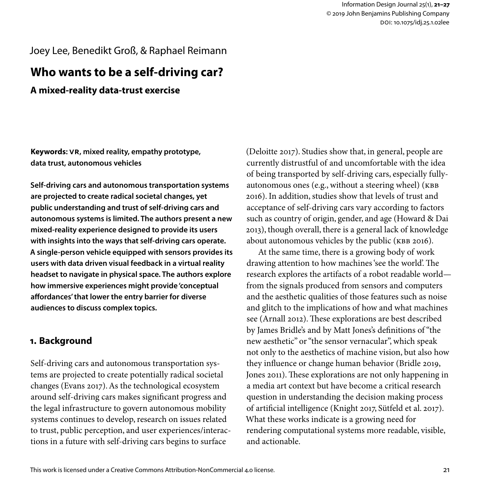# Joey Lee, Benedikt Groß, & Raphael Reimann

# **Who wants to be a self-driving car?**

## **A mixed-reality data-trust exercise**

**Keywords: VR, mixed reality, empathy prototype, data trust, autonomous vehicles**

**Self-driving cars and autonomous transportation systems are projected to create radical societal changes, yet public understanding and trust of self-driving cars and autonomous systems is limited. The authors present a new mixed-reality experience designed to provide its users with insights into the ways that self-driving cars operate. A single-person vehicle equipped with sensors provides its users with data driven visual feedback in a virtual reality headset to navigate in physical space. The authors explore how immersive experiences might provide 'conceptual affordances' that lower the entry barrier for diverse audiences to discuss complex topics.**

### **1. Background**

Self-driving cars and autonomous transportation systems are projected to create potentially radical societal changes (Evans 2017). As the technological ecosystem around self-driving cars makes significant progress and the legal infrastructure to govern autonomous mobility systems continues to develop, research on issues related to trust, public perception, and user experiences/interactions in a future with self-driving cars begins to surface

(Deloitte 2017). Studies show that, in general, people are currently distrustful of and uncomfortable with the idea of being transported by self-driving cars, especially fullyautonomous ones (e.g., without a steering wheel) (KBB 2016). In addition, studies show that levels of trust and acceptance of self-driving cars vary according to factors such as country of origin, gender, and age (Howard & Dai 2013), though overall, there is a general lack of knowledge about autonomous vehicles by the public (KBB 2016).

At the same time, there is a growing body of work drawing attention to how machines 'see the world'. The research explores the artifacts of a robot readable world from the signals produced from sensors and computers and the aesthetic qualities of those features such as noise and glitch to the implications of how and what machines see (Arnall 2012). These explorations are best described by James Bridle's and by Matt Jones's definitions of "the new aesthetic" or "the sensor vernacular", which speak not only to the aesthetics of machine vision, but also how they influence or change human behavior (Bridle 2019, Jones 2011). These explorations are not only happening in a media art context but have become a critical research question in understanding the decision making process of artificial intelligence (Knight 2017, Sütfeld et al. 2017). What these works indicate is a growing need for rendering computational systems more readable, visible, and actionable.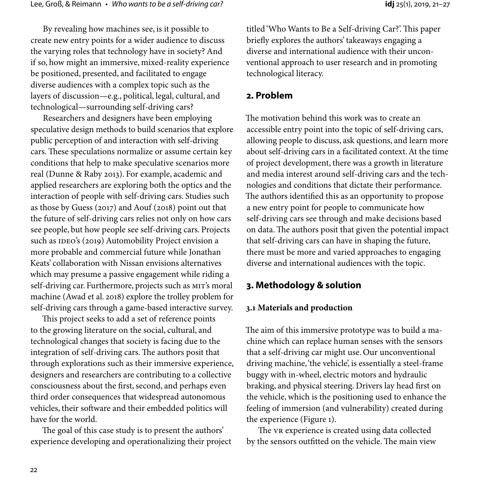By revealing how machines see, is it possible to create new entry points for a wider audience to discuss the varying roles that technology have in society? And if so, how might an immersive, mixed-reality experience be positioned, presented, and facilitated to engage diverse audiences with a complex topic such as the layers of discussion—e.g., political, legal, cultural, and technological—surrounding self-driving cars?

Researchers and designers have been employing speculative design methods to build scenarios that explore public perception of and interaction with self-driving cars. These speculations normalize or assume certain key conditions that help to make speculative scenarios more real (Dunne & Raby 2013). For example, academic and applied researchers are exploring both the optics and the interaction of people with self-driving cars. Studies such as those by Guess (2017) and Aouf (2018) point out that the future of self-driving cars relies not only on how cars see people, but how people see self-driving cars. Projects such as IDEO's (2019) Automobility Project envision a more probable and commercial future while Jonathan Keats' collaboration with Nissan envisions alternatives which may presume a passive engagement while riding a self-driving car. Furthermore, projects such as MIT's moral machine (Awad et al. 2018) explore the trolley problem for self-driving cars through a game-based interactive survey.

This project seeks to add a set of reference points to the growing literature on the social, cultural, and technological changes that society is facing due to the integration of self-driving cars. The authors posit that through explorations such as their immersive experience, designers and researchers are contributing to a collective consciousness about the first, second, and perhaps even third order consequences that widespread autonomous vehicles, their software and their embedded politics will have for the world.

The goal of this case study is to present the authors' experience developing and operationalizing their project

titled 'Who Wants to Be a Self-driving Car?'. This paper briefly explores the authors' takeaways engaging a diverse and international audience with their unconventional approach to user research and in promoting technological literacy.

### **2. Problem**

The motivation behind this work was to create an accessible entry point into the topic of self-driving cars, allowing people to discuss, ask questions, and learn more about self-driving cars in a facilitated context. At the time of project development, there was a growth in literature and media interest around self-driving cars and the technologies and conditions that dictate their performance. The authors identified this as an opportunity to propose a new entry point for people to communicate how self-driving cars see through and make decisions based on data. The authors posit that given the potential impact that self-driving cars can have in shaping the future, there must be more and varied approaches to engaging diverse and international audiences with the topic.

### **3. Methodology & solution**

#### **3.1 Materials and production**

The aim of this immersive prototype was to build a machine which can replace human senses with the sensors that a self-driving car might use. Our unconventional driving machine, 'the vehicle', is essentially a steel-frame buggy with in-wheel, electric motors and hydraulic braking, and physical steering. Drivers lay head first on the vehicle, which is the positioning used to enhance the feeling of immersion (and vulnerability) created during the experience (Figure 1).

The VR experience is created using data collected by the sensors outfitted on the vehicle. The main view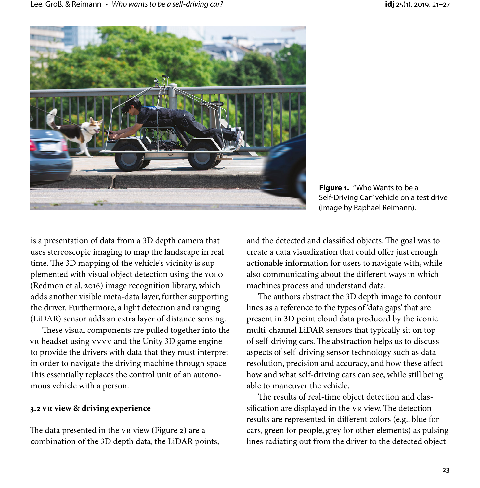

**Figure 1.** "Who Wants to be a Self-Driving Car" vehicle on a test drive (image by Raphael Reimann).

is a presentation of data from a 3D depth camera that uses stereoscopic imaging to map the landscape in real time. The 3D mapping of the vehicle's vicinity is supplemented with visual object detection using the YOLO (Redmon et al. 2016) image recognition library, which adds another visible meta-data layer, further supporting the driver. Furthermore, a light detection and ranging (LiDAR) sensor adds an extra layer of distance sensing.

These visual components are pulled together into the VR headset using VVVV and the Unity 3D game engine to provide the drivers with data that they must interpret in order to navigate the driving machine through space. This essentially replaces the control unit of an autonomous vehicle with a person.

#### **3.2 VR view & driving experience**

The data presented in the VR view (Figure 2) are a combination of the 3D depth data, the LiDAR points,

and the detected and classified objects. The goal was to create a data visualization that could offer just enough actionable information for users to navigate with, while also communicating about the different ways in which machines process and understand data.

The authors abstract the 3D depth image to contour lines as a reference to the types of 'data gaps' that are present in 3D point cloud data produced by the iconic multi-channel LiDAR sensors that typically sit on top of self-driving cars. The abstraction helps us to discuss aspects of self-driving sensor technology such as data resolution, precision and accuracy, and how these affect how and what self-driving cars can see, while still being able to maneuver the vehicle.

The results of real-time object detection and classification are displayed in the VR view. The detection results are represented in different colors (e.g., blue for cars, green for people, grey for other elements) as pulsing lines radiating out from the driver to the detected object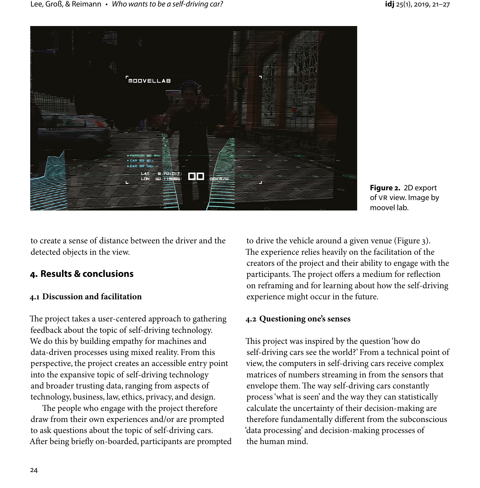

**Figure 2.** 2D export of VR view. Image by moovel lab.

to create a sense of distance between the driver and the detected objects in the view.

# **4. Results & conclusions**

### **4.1 Discussion and facilitation**

The project takes a user-centered approach to gathering feedback about the topic of self-driving technology. We do this by building empathy for machines and data-driven processes using mixed reality. From this perspective, the project creates an accessible entry point into the expansive topic of self-driving technology and broader trusting data, ranging from aspects of technology, business, law, ethics, privacy, and design.

The people who engage with the project therefore draw from their own experiences and/or are prompted to ask questions about the topic of self-driving cars. After being briefly on-boarded, participants are prompted to drive the vehicle around a given venue (Figure 3). The experience relies heavily on the facilitation of the creators of the project and their ability to engage with the participants. The project offers a medium for reflection on reframing and for learning about how the self-driving experience might occur in the future.

### **4.2 Questioning one's senses**

This project was inspired by the question 'how do self-driving cars see the world?' From a technical point of view, the computers in self-driving cars receive complex matrices of numbers streaming in from the sensors that envelope them. The way self-driving cars constantly process 'what is seen' and the way they can statistically calculate the uncertainty of their decision-making are therefore fundamentally different from the subconscious 'data processing' and decision-making processes of the human mind.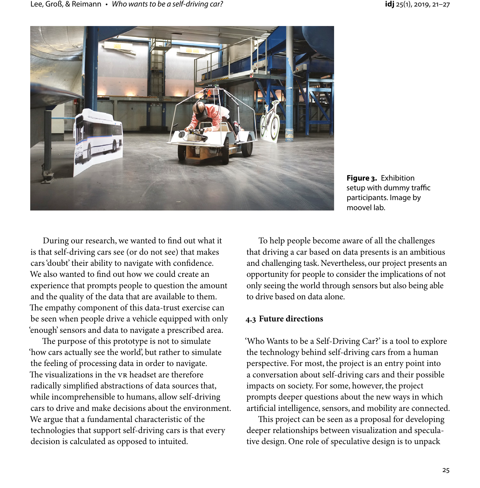

**Figure 3.** Exhibition setup with dummy traffic participants. Image by moovel lab.

During our research, we wanted to find out what it is that self-driving cars see (or do not see) that makes cars 'doubt' their ability to navigate with confidence. We also wanted to find out how we could create an experience that prompts people to question the amount and the quality of the data that are available to them. The empathy component of this data-trust exercise can be seen when people drive a vehicle equipped with only 'enough' sensors and data to navigate a prescribed area.

The purpose of this prototype is not to simulate 'how cars actually see the world', but rather to simulate the feeling of processing data in order to navigate. The visualizations in the VR headset are therefore radically simplified abstractions of data sources that, while incomprehensible to humans, allow self-driving cars to drive and make decisions about the environment. We argue that a fundamental characteristic of the technologies that support self-driving cars is that every decision is calculated as opposed to intuited.

To help people become aware of all the challenges that driving a car based on data presents is an ambitious and challenging task. Nevertheless, our project presents an opportunity for people to consider the implications of not only seeing the world through sensors but also being able to drive based on data alone.

### **4.3 Future directions**

'Who Wants to be a Self-Driving Car?' is a tool to explore the technology behind self-driving cars from a human perspective. For most, the project is an entry point into a conversation about self-driving cars and their possible impacts on society. For some, however, the project prompts deeper questions about the new ways in which artificial intelligence, sensors, and mobility are connected.

This project can be seen as a proposal for developing deeper relationships between visualization and speculative design. One role of speculative design is to unpack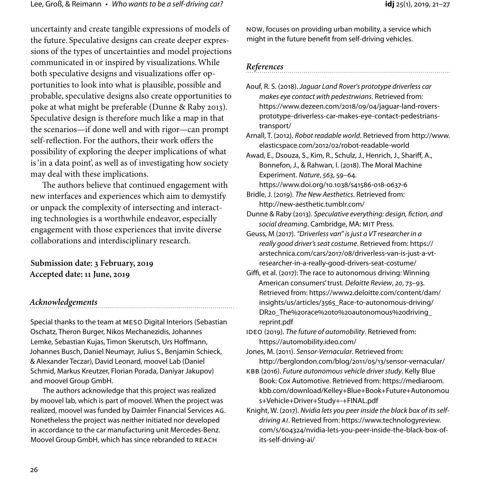uncertainty and create tangible expressions of models of the future. Speculative designs can create deeper expressions of the types of uncertainties and model projections communicated in or inspired by visualizations. While both speculative designs and visualizations offer opportunities to look into what is plausible, possible and probable, speculative designs also create opportunities to poke at what might be preferable (Dunne & Raby 2013). Speculative design is therefore much like a map in that the scenarios—if done well and with rigor—can prompt self-reflection. For the authors, their work offers the possibility of exploring the deeper implications of what is 'in a data point', as well as of investigating how society may deal with these implications.

The authors believe that continued engagement with new interfaces and experiences which aim to demystify or unpack the complexity of intersecting and interacting technologies is a worthwhile endeavor, especially engagement with those experiences that invite diverse collaborations and interdisciplinary research.

**Submission date: 3 February, 2019 Accepted date: 11 June, 2019**

#### *Acknowledgements*

Special thanks to the team at MESO Digital Interiors (Sebastian Oschatz, Theron Burger, Nikos Mechanezidis, Johannes Lemke, Sebastian Kujas, Timon Skerutsch, Urs Hoffmann, Johannes Busch, Daniel Neumayr, Julius S., Benjamin Schieck, & Alexander Teczar), David Leonard, moovel Lab (Daniel Schmid, Markus Kreutzer, Florian Porada, Daniyar Jakupov) and moovel Group GmbH.

The authors acknowledge that this project was realized by moovel lab, which is part of moovel. When the project was realized, moovel was funded by Daimler Financial Services AG. Nonetheless the project was neither initiated nor developed in accordance to the car manufacturing unit Mercedes-Benz. Moovel Group GmbH, which has since rebranded to REACH

NOW, focuses on providing urban mobility, a service which might in the future benefit from self-driving vehicles.

#### *References*

Aouf, R. S. (2018). *Jaguar Land Rover's prototype driverless car makes eye contact with pedestrwians*. Retrieved from: https://www.dezeen.com/2018/09/04/jaguar-land-roversprototype-driverless-car-makes-eye-contact-pedestrianstransport/

Arnall, T. (2012). *Robot readable world*. Retrieved from http://www. elasticspace.com/2012/02/robot-readable-world

Awad, E., Dsouza, S., Kim, R., Schulz, J., Henrich, J., Shariff, A., Bonnefon, J., & Rahwan, I. (2018). The Moral Machine Experiment. *Nature*, *563*, 59–64. https://www.doi.org/10.1038/s41586-018-0637-6

Bridle, J. (2019). *The New Aesthetics*. Retrieved from: http://new-aesthetic.tumblr.com/

Dunne & Raby (2013). *Speculative everything: design, fiction, and social dreaming*. Cambridge, MA: MIT Press.

Geuss, M (2017). *"Driverless van" is just a VT researcher in a really good driver's seat costume*. Retrieved from: https:// arstechnica.com/cars/2017/08/driverless-van-is-just-a-vtresearcher-in-a-really-good-drivers-seat-costume/

Giffi, et al. (2017): The race to autonomous driving: Winning American consumers' trust. *Deloitte Review*, *20*, 73–93. Retrieved from: https://www2.deloitte.com/content/dam/ insights/us/articles/3565\_Race-to-autonomous-driving/ DR20\_The%20race%20to%20autonomous%20driving\_ reprint.pdf

IDEO (2019). *The future of automobility*. Retrieved from: https://automobility.ideo.com/

Jones, M. (2011). *Sensor-Vernacular*. Retrieved from: http://berglondon.com/blog/2011/05/13/sensor-vernacular/

KBB (2016). *Future autonomous vehicle driver study*. Kelly Blue Book: Cox Automotive. Retrieved from: https://mediaroom. kbb.com/download/Kelley+Blue+Book+Future+Autonomou s+Vehicle+Driver+Study+-+FINAL.pdf

Knight, W. (2017). *Nvidia lets you peer inside the black box of its selfdriving AI*. Retrieved from: https://www.technologyreview. com/s/604324/nvidia-lets-you-peer-inside-the-black-box-ofits-self-driving-ai/